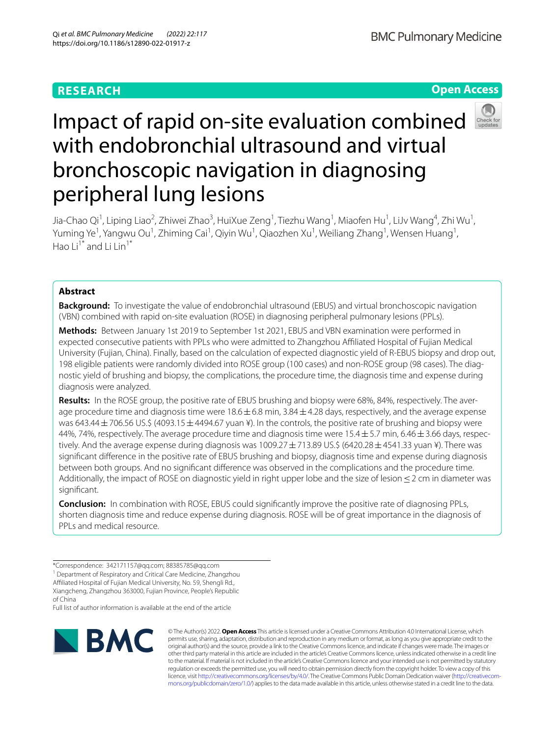# **RESEARCH**

**Open Access**

# Impact of rapid on-site evaluation combined with endobronchial ultrasound and virtual bronchoscopic navigation in diagnosing peripheral lung lesions

Jia-Chao Qi<sup>1</sup>, Liping Liao<sup>2</sup>, Zhiwei Zhao<sup>3</sup>, HuiXue Zeng<sup>1</sup>, Tiezhu Wang<sup>1</sup>, Miaofen Hu<sup>1</sup>, LiJv Wang<sup>4</sup>, Zhi Wu<sup>1</sup>, Yuming Ye<sup>1</sup>, Yangwu Ou<sup>1</sup>, Zhiming Cai<sup>1</sup>, Qiyin Wu<sup>1</sup>, Qiaozhen Xu<sup>1</sup>, Weiliang Zhang<sup>1</sup>, Wensen Huang<sup>1</sup>, Hao  $Li^{\tilde{1}^*}$  and  $Li$   $\tilde{1}$  in<sup>1\*</sup>

# **Abstract**

**Background:** To investigate the value of endobronchial ultrasound (EBUS) and virtual bronchoscopic navigation (VBN) combined with rapid on-site evaluation (ROSE) in diagnosing peripheral pulmonary lesions (PPLs).

**Methods:** Between January 1st 2019 to September 1st 2021, EBUS and VBN examination were performed in expected consecutive patients with PPLs who were admitted to Zhangzhou Afliated Hospital of Fujian Medical University (Fujian, China). Finally, based on the calculation of expected diagnostic yield of R-EBUS biopsy and drop out, 198 eligible patients were randomly divided into ROSE group (100 cases) and non-ROSE group (98 cases). The diagnostic yield of brushing and biopsy, the complications, the procedure time, the diagnosis time and expense during diagnosis were analyzed.

Results: In the ROSE group, the positive rate of EBUS brushing and biopsy were 68%, 84%, respectively. The average procedure time and diagnosis time were  $18.6 \pm 6.8$  min, 3.84 $\pm$ 4.28 days, respectively, and the average expense was 643.44 ± 706.56 US.\$ (4093.15 ± 4494.67 yuan ¥). In the controls, the positive rate of brushing and biopsy were 44%, 74%, respectively. The average procedure time and diagnosis time were  $15.4 \pm 5.7$  min, 6.46  $\pm$  3.66 days, respectively. And the average expense during diagnosis was  $1009.27 \pm 713.89$  US.\$ (6420.28  $\pm$  4541.33 yuan ¥). There was signifcant diference in the positive rate of EBUS brushing and biopsy, diagnosis time and expense during diagnosis between both groups. And no signifcant diference was observed in the complications and the procedure time. Additionally, the impact of ROSE on diagnostic yield in right upper lobe and the size of lesion ≤ 2 cm in diameter was signifcant.

**Conclusion:** In combination with ROSE, EBUS could signifcantly improve the positive rate of diagnosing PPLs, shorten diagnosis time and reduce expense during diagnosis. ROSE will be of great importance in the diagnosis of PPLs and medical resource.

Affiliated Hospital of Fujian Medical University, No. 59, Shengli Rd., Xiangcheng, Zhangzhou 363000, Fujian Province, People's Republic

Full list of author information is available at the end of the article



© The Author(s) 2022. **Open Access** This article is licensed under a Creative Commons Attribution 4.0 International License, which permits use, sharing, adaptation, distribution and reproduction in any medium or format, as long as you give appropriate credit to the original author(s) and the source, provide a link to the Creative Commons licence, and indicate if changes were made. The images or other third party material in this article are included in the article's Creative Commons licence, unless indicated otherwise in a credit line to the material. If material is not included in the article's Creative Commons licence and your intended use is not permitted by statutory regulation or exceeds the permitted use, you will need to obtain permission directly from the copyright holder. To view a copy of this licence, visit [http://creativecommons.org/licenses/by/4.0/.](http://creativecommons.org/licenses/by/4.0/) The Creative Commons Public Domain Dedication waiver (http://creativecom[mons.org/publicdomain/zero/1.0/\)](http://creativecommons.org/publicdomain/zero/1.0/) applies to the data made available in this article, unless otherwise stated in a credit line to the data.

<sup>\*</sup>Correspondence: 342171157@qq.com; 88385785@qq.com

<sup>&</sup>lt;sup>1</sup> Department of Respiratory and Critical Care Medicine, Zhangzhou

of China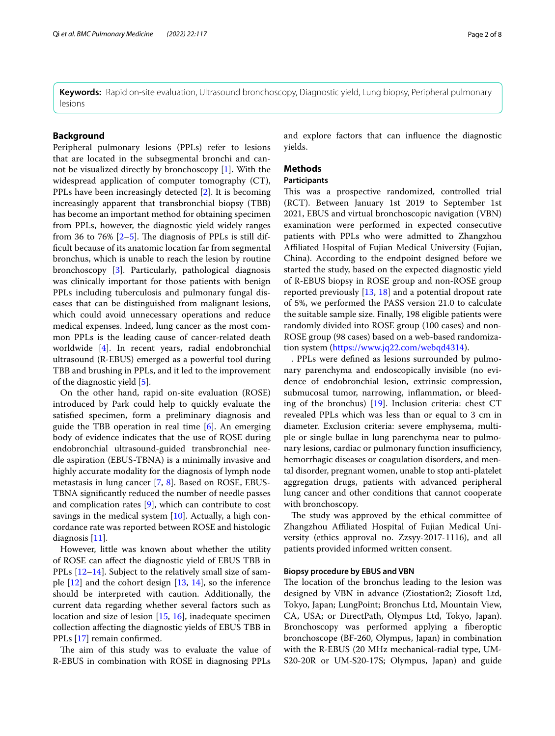**Keywords:** Rapid on-site evaluation, Ultrasound bronchoscopy, Diagnostic yield, Lung biopsy, Peripheral pulmonary lesions

#### **Background**

Peripheral pulmonary lesions (PPLs) refer to lesions that are located in the subsegmental bronchi and cannot be visualized directly by bronchoscopy [\[1](#page-6-0)]. With the widespread application of computer tomography (CT), PPLs have been increasingly detected [\[2](#page-6-1)]. It is becoming increasingly apparent that transbronchial biopsy (TBB) has become an important method for obtaining specimen from PPLs, however, the diagnostic yield widely ranges from 36 to 76%  $[2-5]$  $[2-5]$  $[2-5]$ . The diagnosis of PPLs is still diffcult because of its anatomic location far from segmental bronchus, which is unable to reach the lesion by routine bronchoscopy [[3\]](#page-6-3). Particularly, pathological diagnosis was clinically important for those patients with benign PPLs including tuberculosis and pulmonary fungal diseases that can be distinguished from malignant lesions, which could avoid unnecessary operations and reduce medical expenses. Indeed, lung cancer as the most common PPLs is the leading cause of cancer-related death worldwide [\[4\]](#page-6-4). In recent years, radial endobronchial ultrasound (R-EBUS) emerged as a powerful tool during TBB and brushing in PPLs, and it led to the improvement of the diagnostic yield [[5\]](#page-6-2).

On the other hand, rapid on-site evaluation (ROSE) introduced by Park could help to quickly evaluate the satisfed specimen, form a preliminary diagnosis and guide the TBB operation in real time [[6\]](#page-6-5). An emerging body of evidence indicates that the use of ROSE during endobronchial ultrasound-guided transbronchial needle aspiration (EBUS-TBNA) is a minimally invasive and highly accurate modality for the diagnosis of lymph node metastasis in lung cancer [\[7](#page-6-6), [8](#page-6-7)]. Based on ROSE, EBUS-TBNA signifcantly reduced the number of needle passes and complication rates  $[9]$  $[9]$ , which can contribute to cost savings in the medical system [\[10\]](#page-6-9). Actually, a high concordance rate was reported between ROSE and histologic diagnosis [\[11](#page-6-10)].

However, little was known about whether the utility of ROSE can afect the diagnostic yield of EBUS TBB in PPLs [\[12](#page-6-11)[–14\]](#page-6-12). Subject to the relatively small size of sample  $[12]$  $[12]$  and the cohort design  $[13, 14]$  $[13, 14]$  $[13, 14]$  $[13, 14]$ , so the inference should be interpreted with caution. Additionally, the current data regarding whether several factors such as location and size of lesion [\[15](#page-6-14), [16](#page-6-15)], inadequate specimen collection afecting the diagnostic yields of EBUS TBB in PPLs [[17\]](#page-6-16) remain confrmed.

The aim of this study was to evaluate the value of R-EBUS in combination with ROSE in diagnosing PPLs and explore factors that can infuence the diagnostic yields.

# **Methods**

#### **Participants**

This was a prospective randomized, controlled trial (RCT). Between January 1st 2019 to September 1st 2021, EBUS and virtual bronchoscopic navigation (VBN) examination were performed in expected consecutive patients with PPLs who were admitted to Zhangzhou Afliated Hospital of Fujian Medical University (Fujian, China). According to the endpoint designed before we started the study, based on the expected diagnostic yield of R-EBUS biopsy in ROSE group and non-ROSE group reported previously [\[13](#page-6-13), [18](#page-6-17)] and a potential dropout rate of 5%, we performed the PASS version 21.0 to calculate the suitable sample size. Finally, 198 eligible patients were randomly divided into ROSE group (100 cases) and non-ROSE group (98 cases) based on a web-based randomization system [\(https://www.jq22.com/webqd4314](https://www.jq22.com/webqd4314)).

. PPLs were defned as lesions surrounded by pulmonary parenchyma and endoscopically invisible (no evidence of endobronchial lesion, extrinsic compression, submucosal tumor, narrowing, infammation, or bleeding of the bronchus) [[19\]](#page-6-18). Inclusion criteria: chest CT revealed PPLs which was less than or equal to 3 cm in diameter. Exclusion criteria: severe emphysema, multiple or single bullae in lung parenchyma near to pulmonary lesions, cardiac or pulmonary function insufficiency, hemorrhagic diseases or coagulation disorders, and mental disorder, pregnant women, unable to stop anti-platelet aggregation drugs, patients with advanced peripheral lung cancer and other conditions that cannot cooperate with bronchoscopy.

The study was approved by the ethical committee of Zhangzhou Afliated Hospital of Fujian Medical University (ethics approval no. Zzsyy-2017-1116), and all patients provided informed written consent.

#### **Biopsy procedure by EBUS and VBN**

The location of the bronchus leading to the lesion was designed by VBN in advance (Ziostation2; Ziosoft Ltd, Tokyo, Japan; LungPoint; Bronchus Ltd, Mountain View, CA, USA; or DirectPath, Olympus Ltd, Tokyo, Japan). Bronchoscopy was performed applying a fberoptic bronchoscope (BF-260, Olympus, Japan) in combination with the R-EBUS (20 MHz mechanical-radial type, UM-S20-20R or UM-S20-17S; Olympus, Japan) and guide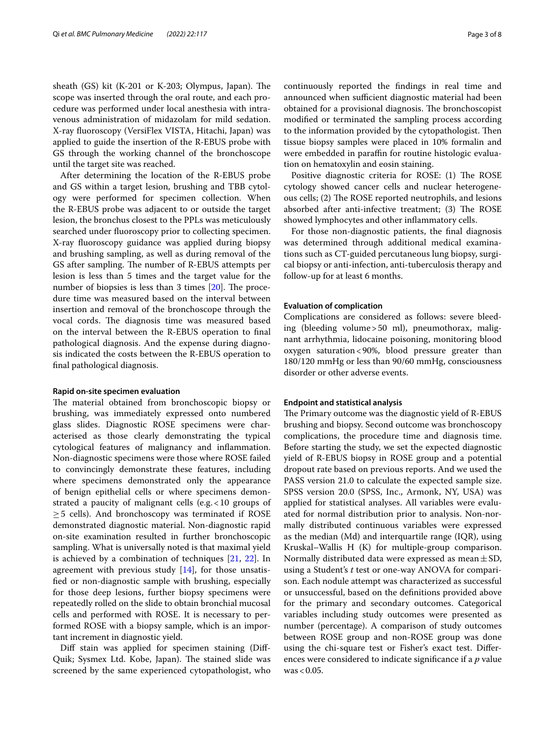sheath  $(GS)$  kit  $(K-201$  or  $K-203$ ; Olympus, Japan). The scope was inserted through the oral route, and each procedure was performed under local anesthesia with intravenous administration of midazolam for mild sedation. X-ray fuoroscopy (VersiFlex VISTA, Hitachi, Japan) was applied to guide the insertion of the R-EBUS probe with GS through the working channel of the bronchoscope until the target site was reached.

After determining the location of the R-EBUS probe and GS within a target lesion, brushing and TBB cytology were performed for specimen collection. When the R-EBUS probe was adjacent to or outside the target lesion, the bronchus closest to the PPLs was meticulously searched under fuoroscopy prior to collecting specimen. X-ray fuoroscopy guidance was applied during biopsy and brushing sampling, as well as during removal of the GS after sampling. The number of R-EBUS attempts per lesion is less than 5 times and the target value for the number of biopsies is less than 3 times  $[20]$  $[20]$ . The procedure time was measured based on the interval between insertion and removal of the bronchoscope through the vocal cords. The diagnosis time was measured based on the interval between the R-EBUS operation to fnal pathological diagnosis. And the expense during diagnosis indicated the costs between the R-EBUS operation to fnal pathological diagnosis.

#### **Rapid on‑site specimen evaluation**

The material obtained from bronchoscopic biopsy or brushing, was immediately expressed onto numbered glass slides. Diagnostic ROSE specimens were characterised as those clearly demonstrating the typical cytological features of malignancy and infammation. Non-diagnostic specimens were those where ROSE failed to convincingly demonstrate these features, including where specimens demonstrated only the appearance of benign epithelial cells or where specimens demonstrated a paucity of malignant cells (e.g.<10 groups of  $\geq$  5 cells). And bronchoscopy was terminated if ROSE demonstrated diagnostic material. Non-diagnostic rapid on-site examination resulted in further bronchoscopic sampling. What is universally noted is that maximal yield is achieved by a combination of techniques [[21,](#page-6-20) [22\]](#page-6-21). In agreement with previous study [\[14\]](#page-6-12), for those unsatisfed or non-diagnostic sample with brushing, especially for those deep lesions, further biopsy specimens were repeatedly rolled on the slide to obtain bronchial mucosal cells and performed with ROSE. It is necessary to performed ROSE with a biopsy sample, which is an important increment in diagnostic yield.

Diff stain was applied for specimen staining (Diff-Quik; Sysmex Ltd. Kobe, Japan). The stained slide was screened by the same experienced cytopathologist, who continuously reported the fndings in real time and announced when sufficient diagnostic material had been obtained for a provisional diagnosis. The bronchoscopist modifed or terminated the sampling process according to the information provided by the cytopathologist. Then tissue biopsy samples were placed in 10% formalin and were embedded in paraffin for routine histologic evaluation on hematoxylin and eosin staining.

Positive diagnostic criteria for ROSE: (1) The ROSE cytology showed cancer cells and nuclear heterogeneous cells; (2) The ROSE reported neutrophils, and lesions absorbed after anti-infective treatment; (3) The ROSE showed lymphocytes and other infammatory cells.

For those non-diagnostic patients, the fnal diagnosis was determined through additional medical examinations such as CT-guided percutaneous lung biopsy, surgical biopsy or anti-infection, anti-tuberculosis therapy and follow-up for at least 6 months.

#### **Evaluation of complication**

Complications are considered as follows: severe bleeding (bleeding volume>50 ml), pneumothorax, malignant arrhythmia, lidocaine poisoning, monitoring blood oxygen saturation<90%, blood pressure greater than 180/120 mmHg or less than 90/60 mmHg, consciousness disorder or other adverse events.

#### **Endpoint and statistical analysis**

The Primary outcome was the diagnostic yield of R-EBUS brushing and biopsy. Second outcome was bronchoscopy complications, the procedure time and diagnosis time. Before starting the study, we set the expected diagnostic yield of R-EBUS biopsy in ROSE group and a potential dropout rate based on previous reports. And we used the PASS version 21.0 to calculate the expected sample size. SPSS version 20.0 (SPSS, Inc., Armonk, NY, USA) was applied for statistical analyses. All variables were evaluated for normal distribution prior to analysis. Non-normally distributed continuous variables were expressed as the median (Md) and interquartile range (IQR), using Kruskal–Wallis H (K) for multiple-group comparison. Normally distributed data were expressed as mean  $\pm$  SD, using a Student's *t* test or one-way ANOVA for comparison. Each nodule attempt was characterized as successful or unsuccessful, based on the defnitions provided above for the primary and secondary outcomes. Categorical variables including study outcomes were presented as number (percentage). A comparison of study outcomes between ROSE group and non-ROSE group was done using the chi-square test or Fisher's exact test. Diferences were considered to indicate signifcance if a *p* value  $was < 0.05$ .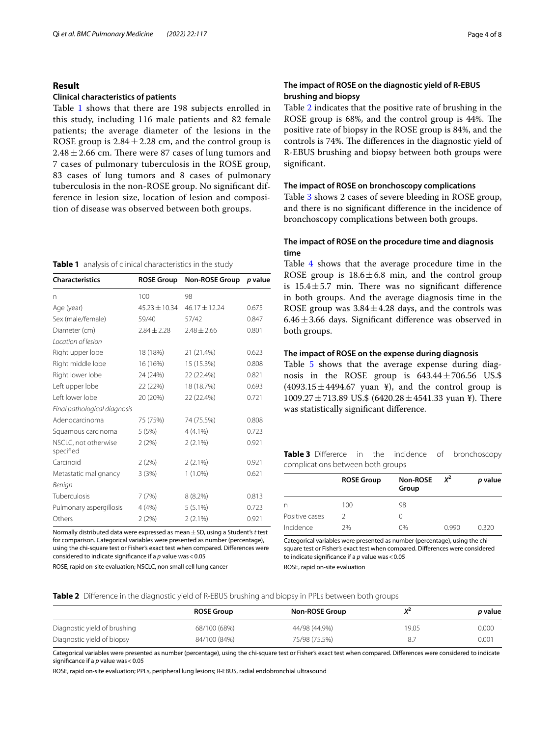#### **Result**

#### **Clinical characteristics of patients**

Table [1](#page-3-0) shows that there are 198 subjects enrolled in this study, including 116 male patients and 82 female patients; the average diameter of the lesions in the ROSE group is  $2.84 \pm 2.28$  cm, and the control group is  $2.48 \pm 2.66$  cm. There were 87 cases of lung tumors and 7 cases of pulmonary tuberculosis in the ROSE group, 83 cases of lung tumors and 8 cases of pulmonary tuberculosis in the non-ROSE group. No signifcant difference in lesion size, location of lesion and composition of disease was observed between both groups.

#### <span id="page-3-0"></span>**Table 1** analysis of clinical characteristics in the study

| <b>Characteristics</b>            | <b>ROSE Group</b> | <b>Non-ROSE Group</b> | p value |
|-----------------------------------|-------------------|-----------------------|---------|
| n                                 | 100               | 98                    |         |
| Age (year)                        | $45.23 \pm 10.34$ | 46.17 ± 12.24         | 0.675   |
| Sex (male/female)                 | 59/40             | 57/42                 | 0.847   |
| Diameter (cm)                     | $2.84 \pm 2.28$   | $2.48 \pm 2.66$       | 0.801   |
| Location of lesion                |                   |                       |         |
| Right upper lobe                  | 18 (18%)          | 21 (21.4%)            | 0.623   |
| Right middle lobe                 | 16 (16%)          | 15 (15.3%)            | 0.808   |
| Right lower lobe                  | 24 (24%)          | 22 (22.4%)            | 0.821   |
| Left upper lobe                   | 22 (22%)          | 18 (18.7%)            | 0.693   |
| Left lower lobe                   | 20 (20%)          | 22 (22.4%)            | 0.721   |
| Final pathological diagnosis      |                   |                       |         |
| Adenocarcinoma                    | 75 (75%)          | 74 (75.5%)            | 0.808   |
| Squamous carcinoma                | 5(5%)             | $4(4.1\%)$            | 0.723   |
| NSCLC, not otherwise<br>specified | 2(2%)             | $2(2.1\%)$            | 0.921   |
| Carcinoid                         | 2(2%)             | $2(2.1\%)$            | 0.921   |
| Metastatic malignancy             | 3(3%)             | $1(1.0\%)$            | 0.621   |
| Benign                            |                   |                       |         |
| Tuberculosis                      | 7(7%)             | $8(8.2\%)$            | 0.813   |
| Pulmonary aspergillosis           | 4(4%)             | $5(5.1\%)$            | 0.723   |
| Others                            | 2(2%)             | $2(2.1\%)$            | 0.921   |

Normally distributed data were expressed as mean±SD, using a Student's *t* test for comparison. Categorical variables were presented as number (percentage), using the chi-square test or Fisher's exact test when compared. Diferences were considered to indicate signifcance if a *p* value was<0.05

ROSE, rapid on-site evaluation; NSCLC, non small cell lung cancer

## **The impact of ROSE on the diagnostic yield of R‑EBUS brushing and biopsy**

Table [2](#page-3-1) indicates that the positive rate of brushing in the ROSE group is  $68\%$ , and the control group is  $44\%$ . The positive rate of biopsy in the ROSE group is 84%, and the controls is 74%. The differences in the diagnostic yield of R-EBUS brushing and biopsy between both groups were signifcant.

#### **The impact of ROSE on bronchoscopy complications**

Table [3](#page-3-2) shows 2 cases of severe bleeding in ROSE group, and there is no signifcant diference in the incidence of bronchoscopy complications between both groups.

## **The impact of ROSE on the procedure time and diagnosis time**

Table [4](#page-4-0) shows that the average procedure time in the ROSE group is  $18.6 \pm 6.8$  min, and the control group is  $15.4 \pm 5.7$  min. There was no significant difference in both groups. And the average diagnosis time in the ROSE group was  $3.84 \pm 4.28$  days, and the controls was  $6.46 \pm 3.66$  days. Significant difference was observed in both groups.

#### **The impact of ROSE on the expense during diagnosis**

Table [5](#page-4-1) shows that the average expense during diagnosis in the ROSE group is 643.44±706.56 US.\$  $(4093.15 \pm 4494.67$  yuan ¥), and the control group is  $1009.27 \pm 713.89$  US.\$  $(6420.28 \pm 4541.33$  yuan ¥). There was statistically signifcant diference.

<span id="page-3-2"></span>

|                                   |  |  | Table 3 Differerce in the incidence of bronchoscopy |
|-----------------------------------|--|--|-----------------------------------------------------|
| complications between both groups |  |  |                                                     |

|                | <b>ROSE Group</b> | Non-ROSE | $X^2$ | p value |
|----------------|-------------------|----------|-------|---------|
|                |                   | Group    |       |         |
| n              | 100               | 98       |       |         |
| Positive cases | ͻ                 | 0        |       |         |
| Incidence      | 2%                | 0%       | 0.990 | 0.320   |

Categorical variables were presented as number (percentage), using the chisquare test or Fisher's exact test when compared. Diferences were considered to indicate signifcance if a *p* value was<0.05

ROSE, rapid on-site evaluation

<span id="page-3-1"></span>

|  |  |  | Table 2 Difference in the diagnostic yield of R-EBUS brushing and biopsy in PPLs between both groups |
|--|--|--|------------------------------------------------------------------------------------------------------|
|  |  |  |                                                                                                      |

|                              | <b>ROSE Group</b> | <b>Non-ROSE Group</b> | $X^2$ | <i>p</i> value |
|------------------------------|-------------------|-----------------------|-------|----------------|
| Diagnostic yield of brushing | 68/100 (68%)      | 44/98 (44.9%)         | 19.05 | 0.000          |
| Diagnostic yield of biopsy   | 84/100 (84%)      | 75/98 (75.5%)         | 8.,   | 0.001          |

Categorical variables were presented as number (percentage), using the chi-square test or Fisher's exact test when compared. Diferences were considered to indicate significance if a *p* value was < 0.05

ROSE, rapid on-site evaluation; PPLs, peripheral lung lesions; R-EBUS, radial endobronchial ultrasound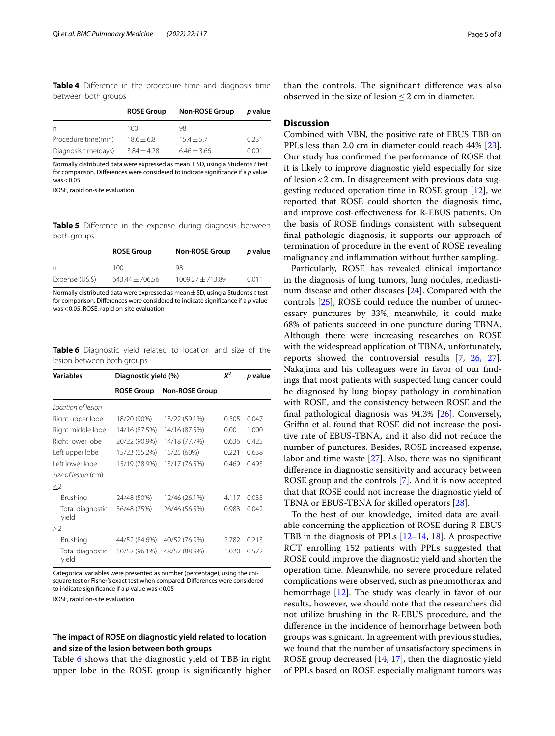<span id="page-4-0"></span>**Table 4** Diference in the procedure time and diagnosis time between both groups

|                      | <b>ROSE Group</b> | <b>Non-ROSE Group</b> | p value |
|----------------------|-------------------|-----------------------|---------|
| n                    | 100               | 98                    |         |
| Procedure time(min)  | $18.6 + 6.8$      | $15.4 + 5.7$          | 0.231   |
| Diagnosis time(days) | $3.84 + 4.28$     | $6.46 + 3.66$         | 0.001   |

Normally distributed data were expressed as mean±SD, using a Student's *t* test for comparison. Diferences were considered to indicate signifcance if a *p* value  $was < 0.05$ 

ROSE, rapid on-site evaluation

<span id="page-4-1"></span>**Table 5** Difference in the expense during diagnosis between both groups

|                 | <b>ROSE Group</b>   | <b>Non-ROSE Group</b> | p value |
|-----------------|---------------------|-----------------------|---------|
| n               | 100                 | 98                    |         |
| Expense (US.\$) | $643.44 \pm 706.56$ | $1009.27 + 713.89$    | 0.011   |

Normally distributed data were expressed as mean±SD, using a Student's *t* test for comparison. Diferences were considered to indicate signifcance if a *p* value was<0.05. ROSE: rapid on-site evaluation

<span id="page-4-2"></span>**Table 6** Diagnostic yield related to location and size of the lesion between both groups

| <b>Variables</b>          | Diagnostic yield (%)                       | $x^2$         | p value |       |
|---------------------------|--------------------------------------------|---------------|---------|-------|
|                           | <b>Non-ROSE Group</b><br><b>ROSE Group</b> |               |         |       |
| Location of lesion        |                                            |               |         |       |
| Right upper lobe          | 18/20 (90%)                                | 13/22 (59.1%) | 0.505   | 0.047 |
| Right middle lobe         | 14/16 (87.5%)                              | 14/16 (87.5%) | 0.00    | 1.000 |
| Right lower lobe          | 20/22 (90.9%)                              | 14/18 (77.7%) | 0.636   | 0.425 |
| Left upper lobe           | 15/23 (65.2%)                              | 15/25 (60%)   | 0.221   | 0.638 |
| Left lower lobe           | 15/19 (78.9%)                              | 13/17 (76.5%) | 0.469   | 0.493 |
| Size of lesion (cm)       |                                            |               |         |       |
| $\lt 2$                   |                                            |               |         |       |
| Brushing                  | 24/48 (50%)                                | 12/46 (26.1%) | 4.117   | 0.035 |
| Total diagnostic<br>vield | 36/48 (75%)                                | 26/46 (56.5%) | 0.983   | 0.042 |
| >2                        |                                            |               |         |       |
| Brushing                  | 44/52 (84.6%)                              | 40/52 (76.9%) | 2.782   | 0.213 |
| Total diagnostic<br>vield | 50/52 (96.1%)                              | 48/52 (88.9%) | 1.020   | 0.572 |

Categorical variables were presented as number (percentage), using the chisquare test or Fisher's exact test when compared. Diferences were considered to indicate signifcance if a *p* value was<0.05

ROSE, rapid on-site evaluation

#### **The impact of ROSE on diagnostic yield related to location and size of the lesion between both groups**

Table [6](#page-4-2) shows that the diagnostic yield of TBB in right upper lobe in the ROSE group is signifcantly higher

than the controls. The significant difference was also observed in the size of lesion  $\leq$  2 cm in diameter.

#### **Discussion**

Combined with VBN, the positive rate of EBUS TBB on PPLs less than 2.0 cm in diameter could reach 44% [\[23](#page-6-22)]. Our study has confrmed the performance of ROSE that it is likely to improve diagnostic yield especially for size of lesion<2 cm. In disagreement with previous data suggesting reduced operation time in ROSE group [[12](#page-6-11)], we reported that ROSE could shorten the diagnosis time, and improve cost-efectiveness for R-EBUS patients. On the basis of ROSE fndings consistent with subsequent fnal pathologic diagnosis, it supports our approach of termination of procedure in the event of ROSE revealing malignancy and infammation without further sampling.

Particularly, ROSE has revealed clinical importance in the diagnosis of lung tumors, lung nodules, mediastinum disease and other diseases [\[24](#page-6-23)]. Compared with the controls [\[25](#page-6-24)], ROSE could reduce the number of unnecessary punctures by 33%, meanwhile, it could make 68% of patients succeed in one puncture during TBNA. Although there were increasing researches on ROSE with the widespread application of TBNA, unfortunately, reports showed the controversial results [\[7](#page-6-6), [26](#page-6-25), [27](#page-6-26)]. Nakajima and his colleagues were in favor of our fndings that most patients with suspected lung cancer could be diagnosed by lung biopsy pathology in combination with ROSE, and the consistency between ROSE and the fnal pathological diagnosis was 94.3% [\[26](#page-6-25)]. Conversely, Grifn et al. found that ROSE did not increase the positive rate of EBUS-TBNA, and it also did not reduce the number of punctures. Besides, ROSE increased expense, labor and time waste [[27\]](#page-6-26). Also, there was no signifcant diference in diagnostic sensitivity and accuracy between ROSE group and the controls [\[7](#page-6-6)]. And it is now accepted that that ROSE could not increase the diagnostic yield of TBNA or EBUS-TBNA for skilled operators [[28\]](#page-6-27).

To the best of our knowledge, limited data are available concerning the application of ROSE during R-EBUS TBB in the diagnosis of PPLs [\[12](#page-6-11)–[14,](#page-6-12) [18\]](#page-6-17). A prospective RCT enrolling 152 patients with PPLs suggested that ROSE could improve the diagnostic yield and shorten the operation time. Meanwhile, no severe procedure related complications were observed, such as pneumothorax and hemorrhage  $[12]$  $[12]$  $[12]$ . The study was clearly in favor of our results, however, we should note that the researchers did not utilize brushing in the R-EBUS procedure, and the diference in the incidence of hemorrhage between both groups was signicant. In agreement with previous studies, we found that the number of unsatisfactory specimens in ROSE group decreased [\[14](#page-6-12), [17\]](#page-6-16), then the diagnostic yield of PPLs based on ROSE especially malignant tumors was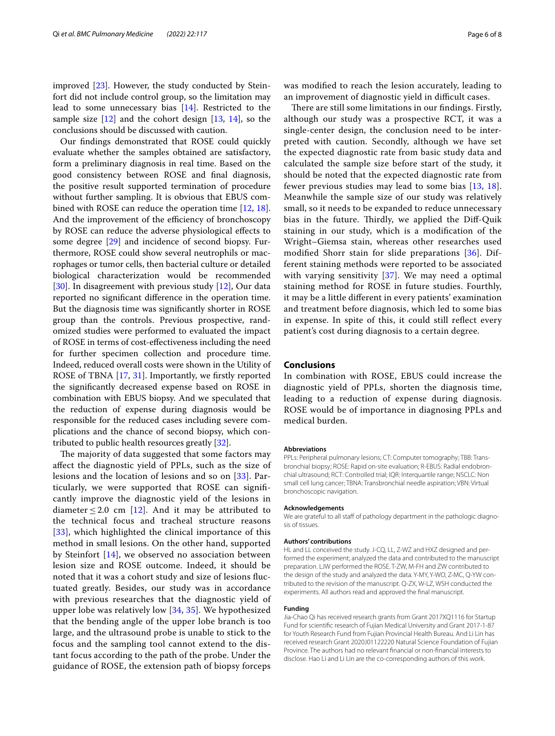improved [[23\]](#page-6-22). However, the study conducted by Steinfort did not include control group, so the limitation may lead to some unnecessary bias [[14](#page-6-12)]. Restricted to the sample size  $[12]$  $[12]$  and the cohort design  $[13, 14]$  $[13, 14]$  $[13, 14]$  $[13, 14]$ , so the conclusions should be discussed with caution.

Our fndings demonstrated that ROSE could quickly evaluate whether the samples obtained are satisfactory, form a preliminary diagnosis in real time. Based on the good consistency between ROSE and fnal diagnosis, the positive result supported termination of procedure without further sampling. It is obvious that EBUS combined with ROSE can reduce the operation time [[12](#page-6-11), [18](#page-6-17)]. And the improvement of the efficiency of bronchoscopy by ROSE can reduce the adverse physiological efects to some degree [[29\]](#page-7-0) and incidence of second biopsy. Furthermore, ROSE could show several neutrophils or macrophages or tumor cells, then bacterial culture or detailed biological characterization would be recommended [[30\]](#page-7-1). In disagreement with previous study [\[12\]](#page-6-11), Our data reported no signifcant diference in the operation time. But the diagnosis time was signifcantly shorter in ROSE group than the controls. Previous prospective, randomized studies were performed to evaluated the impact of ROSE in terms of cost-efectiveness including the need for further specimen collection and procedure time. Indeed, reduced overall costs were shown in the Utility of ROSE of TBNA [[17,](#page-6-16) [31\]](#page-7-2). Importantly, we frstly reported the signifcantly decreased expense based on ROSE in combination with EBUS biopsy. And we speculated that the reduction of expense during diagnosis would be responsible for the reduced cases including severe complications and the chance of second biopsy, which contributed to public health resources greatly [[32\]](#page-7-3).

The majority of data suggested that some factors may afect the diagnostic yield of PPLs, such as the size of lesions and the location of lesions and so on [[33](#page-7-4)]. Particularly, we were supported that ROSE can signifcantly improve the diagnostic yield of the lesions in diameter  $\leq 2.0$  cm [\[12](#page-6-11)]. And it may be attributed to the technical focus and tracheal structure reasons [[33](#page-7-4)], which highlighted the clinical importance of this method in small lesions. On the other hand, supported by Steinfort [[14](#page-6-12)], we observed no association between lesion size and ROSE outcome. Indeed, it should be noted that it was a cohort study and size of lesions fuctuated greatly. Besides, our study was in accordance with previous researches that the diagnostic yield of upper lobe was relatively low [[34,](#page-7-5) [35\]](#page-7-6). We hypothesized that the bending angle of the upper lobe branch is too large, and the ultrasound probe is unable to stick to the focus and the sampling tool cannot extend to the distant focus according to the path of the probe. Under the guidance of ROSE, the extension path of biopsy forceps was modifed to reach the lesion accurately, leading to an improvement of diagnostic yield in difficult cases.

There are still some limitations in our findings. Firstly, although our study was a prospective RCT, it was a single-center design, the conclusion need to be interpreted with caution. Secondly, although we have set the expected diagnostic rate from basic study data and calculated the sample size before start of the study, it should be noted that the expected diagnostic rate from fewer previous studies may lead to some bias [[13](#page-6-13), [18](#page-6-17)]. Meanwhile the sample size of our study was relatively small, so it needs to be expanded to reduce unnecessary bias in the future. Thirdly, we applied the Diff-Quik staining in our study, which is a modifcation of the Wright–Giemsa stain, whereas other researches used modifed Shorr stain for slide preparations [\[36\]](#page-7-7). Different staining methods were reported to be associated with varying sensitivity [\[37](#page-7-8)]. We may need a optimal staining method for ROSE in future studies. Fourthly, it may be a little diferent in every patients' examination and treatment before diagnosis, which led to some bias in expense. In spite of this, it could still refect every patient's cost during diagnosis to a certain degree.

#### **Conclusions**

In combination with ROSE, EBUS could increase the diagnostic yield of PPLs, shorten the diagnosis time, leading to a reduction of expense during diagnosis. ROSE would be of importance in diagnosing PPLs and medical burden.

#### **Abbreviations**

PPLs: Peripheral pulmonary lesions; CT: Computer tomography; TBB: Transbronchial biopsy; ROSE: Rapid on-site evaluation; R-EBUS: Radial endobron‑ chial ultrasound; RCT: Controlled trial; IQR: Interquartile range; NSCLC: Non small cell lung cancer; TBNA: Transbronchial needle aspiration; VBN: Virtual bronchoscopic navigation.

#### **Acknowledgements**

We are grateful to all staff of pathology department in the pathologic diagnosis of tissues.

#### **Authors' contributions**

HL and LL conceived the study. J-CQ, LL, Z-WZ and HXZ designed and performed the experiment; analyzed the data and contributed to the manuscript preparation. LJW performed the ROSE. T-ZW, M-FH and ZW contributed to the design of the study and analyzed the data. Y-MY, Y-WO, Z-MC, Q-YW contributed to the revision of the manuscript. Q-ZX, W-LZ, WSH conducted the experiments. All authors read and approved the fnal manuscript.

#### **Funding**

Jia-Chao Qi has received research grants from Grant 2017XQ1116 for Startup Fund for scientifc research of Fujian Medical University and Grant 2017-1-87 for Youth Research Fund from Fujian Provincial Health Bureau. And Li Lin has received research Grant 2020J01122220 Natural Science Foundation of Fujian Province. The authors had no relevant fnancial or non-fnancial interests to disclose. Hao Li and Li Lin are the co-corresponding authors of this work.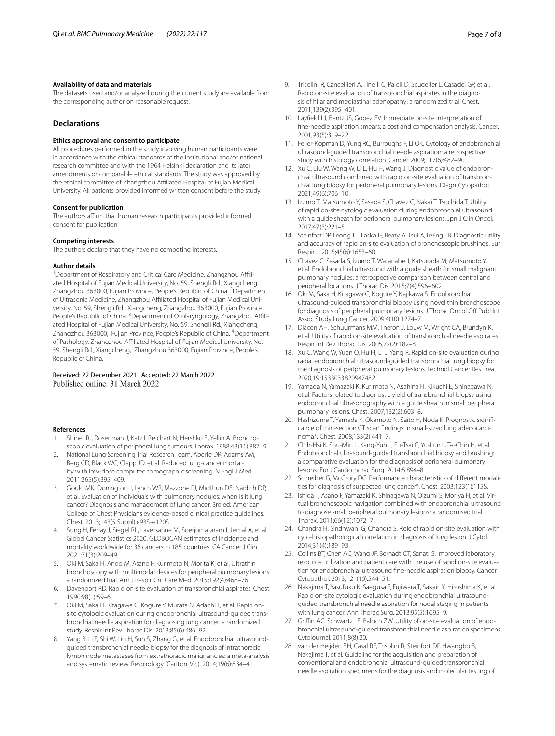#### **Availability of data and materials**

The datasets used and/or analyzed during the current study are available from the corresponding author on reasonable request.

#### **Declarations**

#### **Ethics approval and consent to participate**

All procedures performed in the study involving human participants were in accordance with the ethical standards of the institutional and/or national research committee and with the 1964 Helsinki declaration and its later amendments or comparable ethical standards. The study was approved by the ethical committee of Zhangzhou Afliated Hospital of Fujian Medical University. All patients provided informed written consent before the study.

#### **Consent for publication**

The authors affirm that human research participants provided informed consent for publication.

#### **Competing interests**

The authors declare that they have no competing interests.

#### **Author details**

<sup>1</sup> Department of Respiratory and Critical Care Medicine, Zhangzhou Affiliated Hospital of Fujian Medical University, No. 59, Shengli Rd., Xiangcheng, Zhangzhou 363000, Fujian Province, People's Republic of China. <sup>2</sup> Department of Ultrasonic Medicine, Zhangzhou Afliated Hospital of Fujian Medical Uni‑ versity, No. 59, Shengli Rd., Xiangcheng, Zhangzhou 363000, Fujian Province, People's Republic of China. <sup>3</sup> Department of Otolaryngology, Zhangzhou Affiliated Hospital of Fujian Medical University, No. 59, Shengli Rd., Xiangcheng, Zhangzhou 363000, Fujian Province, People's Republic of China. <sup>4</sup> Department of Pathology, Zhangzhou Afliated Hospital of Fujian Medical University, No. 59, Shengli Rd., Xiangcheng, Zhangzhou 363000, Fujian Province, People's Republic of China.

# Received: 22 December 2021 Accepted: 22 March 2022

#### **References**

- <span id="page-6-0"></span>1. Shiner RJ, Rosenman J, Katz I, Reichart N, Hershko E, Yellin A. Bronchoscopic evaluation of peripheral lung tumours. Thorax. 1988;43(11):887–9.
- <span id="page-6-1"></span>2. National Lung Screening Trial Research Team, Aberle DR, Adams AM, Berg CD, Black WC, Clapp JD, et al. Reduced lung-cancer mortality with low-dose computed tomographic screening. N Engl J Med. 2011;365(5):395–409.
- <span id="page-6-3"></span>3. Gould MK, Donington J, Lynch WR, Mazzone PJ, Midthun DE, Naidich DP, et al. Evaluation of individuals with pulmonary nodules: when is it lung cancer? Diagnosis and management of lung cancer, 3rd ed: American College of Chest Physicians evidence-based clinical practice guidelines. Chest. 2013;143(5 Suppl):e93S-e120S.
- <span id="page-6-4"></span>4. Sung H, Ferlay J, Siegel RL, Laversanne M, Soerjomataram I, Jemal A, et al. Global Cancer Statistics 2020: GLOBOCAN estimates of incidence and mortality worldwide for 36 cancers in 185 countries. CA Cancer J Clin. 2021;71(3):209–49.
- <span id="page-6-2"></span>5. Oki M, Saka H, Ando M, Asano F, Kurimoto N, Morita K, et al. Ultrathin bronchoscopy with multimodal devices for peripheral pulmonary lesions: a randomized trial. Am J Respir Crit Care Med. 2015;192(4):468–76.
- <span id="page-6-5"></span>6. Davenport RD. Rapid on-site evaluation of transbronchial aspirates. Chest. 1990;98(1):59–61.
- <span id="page-6-6"></span>7. Oki M, Saka H, Kitagawa C, Kogure Y, Murata N, Adachi T, et al. Rapid onsite cytologic evaluation during endobronchial ultrasound-guided transbronchial needle aspiration for diagnosing lung cancer: a randomized study. Respir Int Rev Thorac Dis. 2013;85(6):486–92.
- <span id="page-6-7"></span>8. Yang B, Li F, Shi W, Liu H, Sun S, Zhang G, et al. Endobronchial ultrasoundguided transbronchial needle biopsy for the diagnosis of intrathoracic lymph node metastases from extrathoracic malignancies: a meta-analysis and systematic review. Respirology (Carlton, Vic). 2014;19(6):834–41.
- <span id="page-6-8"></span>9. Trisolini R, Cancellieri A, Tinelli C, Paioli D, Scudeller L, Casadei GP, et al. Rapid on-site evaluation of transbronchial aspirates in the diagnosis of hilar and mediastinal adenopathy: a randomized trial. Chest. 2011;139(2):395–401.
- <span id="page-6-9"></span>10. Layfeld LJ, Bentz JS, Gopez EV. Immediate on-site interpretation of fne-needle aspiration smears: a cost and compensation analysis. Cancer. 2001;93(5):319–22.
- <span id="page-6-10"></span>11. Feller-Kopman D, Yung RC, Burroughs F, Li QK. Cytology of endobronchial ultrasound-guided transbronchial needle aspiration: a retrospective study with histology correlation. Cancer. 2009;117(6):482–90.
- <span id="page-6-11"></span>12. Xu C, Liu W, Wang W, Li L, Hu H, Wang J. Diagnostic value of endobronchial ultrasound combined with rapid on-site evaluation of transbronchial lung biopsy for peripheral pulmonary lesions. Diagn Cytopathol. 2021;49(6):706–10.
- <span id="page-6-13"></span>13. Izumo T, Matsumoto Y, Sasada S, Chavez C, Nakai T, Tsuchida T. Utility of rapid on-site cytologic evaluation during endobronchial ultrasound with a guide sheath for peripheral pulmonary lesions. Jpn J Clin Oncol. 2017;47(3):221–5.
- <span id="page-6-12"></span>14. Steinfort DP, Leong TL, Laska IF, Beaty A, Tsui A, Irving LB. Diagnostic utility and accuracy of rapid on-site evaluation of bronchoscopic brushings. Eur Respir J. 2015;45(6):1653–60.
- <span id="page-6-14"></span>15. Chavez C, Sasada S, Izumo T, Watanabe J, Katsurada M, Matsumoto Y, et al. Endobronchial ultrasound with a guide sheath for small malignant pulmonary nodules: a retrospective comparison between central and peripheral locations. J Thorac Dis. 2015;7(4):596–602.
- <span id="page-6-15"></span>16. Oki M, Saka H, Kitagawa C, Kogure Y, Kajikawa S. Endobronchial ultrasound-guided transbronchial biopsy using novel thin bronchoscope for diagnosis of peripheral pulmonary lesions. J Thorac Oncol Of Publ Int Assoc Study Lung Cancer. 2009;4(10):1274–7.
- <span id="page-6-16"></span>17. Diacon AH, Schuurmans MM, Theron J, Louw M, Wright CA, Brundyn K, et al. Utility of rapid on-site evaluation of transbronchial needle aspirates. Respir Int Rev Thorac Dis. 2005;72(2):182–8.
- <span id="page-6-17"></span>18. Xu C, Wang W, Yuan Q, Hu H, Li L, Yang R. Rapid on-site evaluation during radial endobronchial ultrasound-guided transbronchial lung biopsy for the diagnosis of peripheral pulmonary lesions. Technol Cancer Res Treat. 2020;19:1533033820947482.
- <span id="page-6-18"></span>19. Yamada N, Yamazaki K, Kurimoto N, Asahina H, Kikuchi E, Shinagawa N, et al. Factors related to diagnostic yield of transbronchial biopsy using endobronchial ultrasonography with a guide sheath in small peripheral pulmonary lesions. Chest. 2007;132(2):603–8.
- <span id="page-6-19"></span>20. Hashizume T, Yamada K, Okamoto N, Saito H, Noda K. Prognostic significance of thin-section CT scan findings in small-sized lung adenocarcinoma\*. Chest. 2008;133(2):441–7.
- <span id="page-6-20"></span>21. Chih-Hsi K, Shu-Min L, Kang-Yun L, Fu-Tsai C, Yu-Lun L, Te-Chih H, et al. Endobronchial ultrasound-guided transbronchial biopsy and brushing: a comparative evaluation for the diagnosis of peripheral pulmonary lesions. Eur J Cardiothorac Surg. 2014;5:894–8.
- <span id="page-6-21"></span>22. Schreiber G, McCrory DC. Performance characteristics of different modalities for diagnosis of suspected lung cancer\*. Chest. 2003;123(1):115S.
- <span id="page-6-22"></span>23. Ishida T, Asano F, Yamazaki K, Shinagawa N, Oizumi S, Moriya H, et al. Virtual bronchoscopic navigation combined with endobronchial ultrasound to diagnose small peripheral pulmonary lesions: a randomised trial. Thorax. 2011;66(12):1072–7.
- <span id="page-6-23"></span>24. Chandra H, Sindhwani G, Chandra S. Role of rapid on-site evaluation with cyto-histopathological correlation in diagnosis of lung lesion. J Cytol. 2014;31(4):189–93.
- <span id="page-6-24"></span>25. Collins BT, Chen AC, Wang JF, Bernadt CT, Sanati S. Improved laboratory resource utilization and patient care with the use of rapid on-site evaluation for endobronchial ultrasound fne-needle aspiration biopsy. Cancer Cytopathol. 2013;121(10):544–51.
- <span id="page-6-25"></span>26. Nakajima T, Yasufuku K, Saegusa F, Fujiwara T, Sakairi Y, Hiroshima K, et al. Rapid on-site cytologic evaluation during endobronchial ultrasoundguided transbronchial needle aspiration for nodal staging in patients with lung cancer. Ann Thorac Surg. 2013;95(5):1695–9.
- <span id="page-6-26"></span>27. Griffin AC, Schwartz LE, Baloch ZW. Utility of on-site evaluation of endobronchial ultrasound-guided transbronchial needle aspiration specimens. Cytojournal. 2011;8(8):20.
- <span id="page-6-27"></span>28. van der Heijden EH, Casal RF, Trisolini R, Steinfort DP, Hwangbo B, Nakajima T, et al. Guideline for the acquisition and preparation of conventional and endobronchial ultrasound-guided transbronchial needle aspiration specimens for the diagnosis and molecular testing of